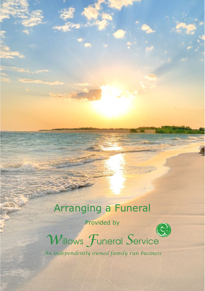# Arranging a Funeral

Provided by



*w*illows *F*uneral *S*ervice

*An independently owned family run business*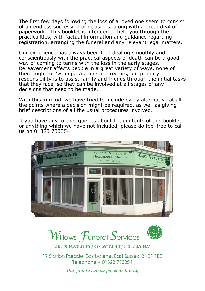The first few days following the loss of a loved one seem to consist of an endless succession of decisions, along with a great deal of paperwork. This booklet is intended to help you through the practicalities, with factual information and guidance regarding registration, arranging the funeral and any relevant legal matters.

Our experience has always been that dealing smoothly and conscientiously with the practical aspects of death can be a good way of coming to terms with the loss in the early stages. Bereavement affects people in a great variety of ways, none of them 'right' or 'wrong'. As funeral directors, our primary responsibility is to assist family and friends through the initial tasks that they face, so they can be involved at all stages of any decisions that need to be made.

With this in mind, we have tried to include every alternative at all the points where a decision might be required, as well as giving brief descriptions of all the usual procedures involved.

If you have any further queries about the contents of this booklet, or anything which we have not included, please do feel free to call us on 01323 733354.







*An independently owned family run business*

17 Station Parade, Eastbourne, East Sussex, BN21 1BE Telephone ~ 01323 733354

*Our family caring for your family*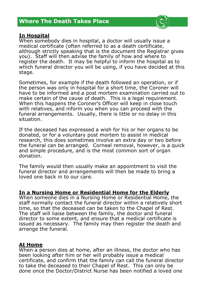# **Where The Death Takes Place**

#### **In Hospital**

When somebody dies in hospital, a doctor will usually issue a medical certificate (often referred to as a death certificate, although strictly speaking that is the document the Registrar gives you). Staff will then advise the family of how and where to register the death. It may be helpful to inform the hospital as to which funeral director you will be using, if you have decided at this stage.

Sometimes, for example if the death followed an operation, or if the person was only in hospital for a short time, the Coroner will have to be informed and a post mortem examination carried out to make certain of the cause of death. This is a legal requirement. When this happens the Coroner's Officer will keep in close touch with relatives, and inform you when you can proceed with the funeral arrangements. Usually, there is little or no delay in this situation.

If the deceased has expressed a wish for his or her organs to be donated, or for a voluntary post mortem to assist in medical research, this does sometimes involve an extra day or two before the funeral can be arranged. Corneal removal, however, is a quick and simple procedure, and is the most common sort of organ donation.

The family would then usually make an appointment to visit the funeral director and arrangements will then be made to bring a loved one back in to our care.

#### **In a Nursing Home or Residential Home for the Elderly**

When someone dies in a Nursing Home or Residential Home, the staff normally contact the funeral director within a relatively short time, so that the deceased can be taken to the Chapel of Rest. The staff will liaise between the family, the doctor and funeral director to some extent, and ensure that a medical certificate is issued as necessary. The family may then register the death and arrange the funeral.

#### **At Home**

When a person dies at home, after an illness, the doctor who has been looking after him or her will probably issue a medical certificate, and confirm that the family can call the funeral director to take the deceased to their Chapel of Rest. This can only be done once the Doctor/District Nurse has been notified a loved one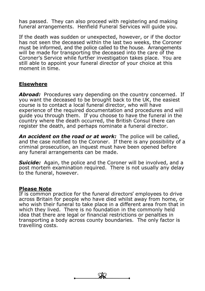has passed. They can also proceed with registering and making funeral arrangements. Henfield Funeral Services will guide you.

If the death was sudden or unexpected, however, or if the doctor has not seen the deceased within the last two weeks, the Coroner must be informed, and the police called to the house. Arrangements will be made for transporting the deceased into the care of the Coroner's Service while further investigation takes place. You are still able to appoint your funeral director of your choice at this moment in time.

## **Elsewhere**

Abroad: Procedures vary depending on the country concerned. If you want the deceased to be brought back to the UK, the easiest course is to contact a local funeral director, who will have experience of the required documentation and procedures and will guide you through them. If you choose to have the funeral in the country where the death occurred, the British Consul there can register the death, and perhaps nominate a funeral director.

*An accident on the road or at work:* The police will be called, and the case notified to the Coroner. If there is any possibility of a criminal prosecution, an inquest must have been opened before any funeral arrangements can be made.

*Suicide:* Again, the police and the Coroner will be involved, and a post mortem examination required. There is not usually any delay to the funeral, however.

#### **Please Note**

If is common practice for the funeral directors' employees to drive across Britain for people who have died whilst away from home, or who wish their funeral to take place in a different area from that in which they lived. There is no foundation in the commonly held idea that there are legal or financial restrictions or penalties in transporting a body across county boundaries. The only factor is travelling costs.

 $\frac{2}{3}$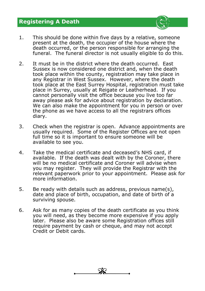# **Registering A Death**



- 1. This should be done within five days by a relative, someone present at the death, the occupier of the house where the death occurred, or the person responsible for arranging the funeral. The funeral director is not usually eligible to do this.
- 2. It must be in the district where the death occurred. East Sussex is now considered one district and, when the death took place within the county, registration may take place in any Registrar in West Sussex. However, where the death took place at the East Surrey Hospital, registration must take place in Surrey, usually at Reigate or Leatherhead. If you cannot personally visit the office because you live too far away please ask for advice about registration by declaration. We can also make the appointment for you in person or over the phone as we have access to all the registrars offices diary.
- 3. Check when the registrar is open. Advance appointments are usually required. Some of the Register Offices are not open full time so it is important to ensure someone will be available to see you.
- 4. Take the medical certificate and deceased's NHS card, if available. If the death was dealt with by the Coroner, there will be no medical certificate and Coroner will advise when you may register. They will provide the Registrar with the relevant paperwork prior to your appointment. Please ask for more information.
- 5. Be ready with details such as address, previous name(s), date and place of birth, occupation, and date of birth of a surviving spouse.
- 6. Ask for as many copies of the death certificate as you think you will need, as they become more expensive if you apply later. Please also be aware some Registration offices still require payment by cash or cheque, and may not accept Credit or Debit cards.

 $\overline{\mathscr{L}}$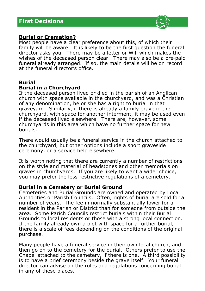

## **Burial or Cremation?**

Most people have a clear preference about this, of which their family will be aware. It is likely to be the first question the funeral director asks you. There may be a letter or Will which makes the wishes of the deceased person clear. There may also be a pre-paid funeral already arranged. If so, the main details will be on record at the funeral director's office.

## **Burial**

## **Burial in a Churchyard**

If the deceased person lived or died in the parish of an Anglican church with space available in the churchyard, and was a Christian of any denomination, he or she has a right to burial in that graveyard. Similarly, if there is already a family grave in the churchyard, with space for another interment, it may be used even if the deceased lived elsewhere. There are, however, some churchyards in this area which have no further space for new burials.

There would usually be a funeral service in the church attached to the churchyard, but other options include a short graveside ceremony, or a service held elsewhere.

It is worth noting that there are currently a number of restrictions on the style and material of headstones and other memorials on graves in churchyards. If you are likely to want a wider choice, you may prefer the less restrictive regulations of a cemetery.

#### **Burial in a Cemetery or Burial Ground**

Cemeteries and Burial Grounds are owned and operated by Local Authorities or Parish Councils. Often, rights of burial are sold for a number of years. The fee in normally substantially lower for a resident in the Parish or District than for someone from outside the area. Some Parish Councils restrict burials within their Burial Grounds to local residents or those with a strong local connection. If the family already own a plot with space for a further burial, there is a scale of fees depending on the conditions of the original purchase.

Many people have a funeral service in their own local church, and then go on to the cemetery for the burial. Others prefer to use the Chapel attached to the cemetery, if there is one. A third possibility is to have a brief ceremony beside the grave itself. Your funeral director can advise on the rules and regulations concerning burial in any of these places.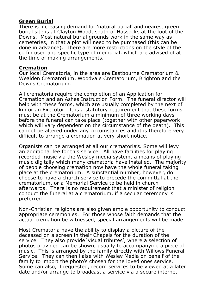## **Green Burial**

There is increasing demand for 'natural burial' and nearest green burial site is at Clayton Wood, south of Hassocks at the foot of the Downs. Most natural burial grounds work in the same way as cemeteries, in that a plot will need to be purchased (this can be done in advance). There are more restrictions on the style of the coffin used and specific type of memorial, which are advised of at the time of making arrangements.

#### **Cremation**

Our local Crematoria, in the area are Eastbourne Crematorium & Wealden Crematorium, Woodvale Crematorium, Brighton and the Downs Crematorium.

All crematoria require the completion of an Application for Cremation and an Ashes Instruction Form. The funeral director will help with these forms, which are usually completed by the next of kin or an Executor. It is a statutory requirement that these forms must be at the Crematorium a minimum of three working days before the funeral can take place (together with other paperwork which will vary dependent on the circumstance of the death). This cannot be altered under any circumstances and it is therefore very difficult to arrange a cremation at very short notice.

Organists can be arranged at all our crematoria's. Some will levy an additional fee for this service. All have facilities for playing recorded music via the Wesley media system, a means of playing music digitally which many crematoria have installed. The majority of people choosing cremation now have the whole funeral taking place at the crematorium. A substantial number, however, do choose to have a church service to precede the committal at the crematorium, or a Memorial Service to be held in church afterwards. There is no requirement that a minister of religion conduct the funeral at a crematorium, if a secular ceremony is preferred.

Non-Christian religions are also given ample opportunity to conduct appropriate ceremonies. For those whose faith demands that the actual cremation be witnessed, special arrangements will be made.

Most Crematoria have the ability to display a picture of the deceased on a screen in their Chapels for the duration of the service. They also provide 'visual tributes', where a selection of photos provided can be shown, usually to accompanying a piece of music. This is arranged by the family directly with Willows Funeral Service. They can then liaise with Wesley Media on behalf of the family to import the photo's chosen for the loved ones service. Some can also, if requested, record services to be viewed at a later date and/or arrange to broadcast a service via a secure internet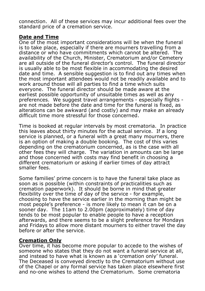connection. All of these services may incur additional fees over the standard price of a cremation service.

## **Date and Time**

One of the most important considerations will be when the funeral is to take place, especially if there are mourners travelling from a distance or who have commitments which cannot be altered. The availability of the Church, Minister, Crematorium and/or Cemetery are all outside of the funeral director's control. The funeral director is usually able to be most flexible in accommodating the desired date and time. A sensible suggestion is to find out any times when the most important attendees would not be readily available and to work around those will all parties to find a time which suits everyone. The funeral director should be made aware at the earliest possible opportunity of unsuitable times as well as any preferences. We suggest travel arrangements - especially flights are not made before the date and time for the funeral is fixed, as alterations can be awkward (and costly) and may make an already difficult time more stressful for those concerned.

Time is booked at regular intervals by most crematoria. In practice this leaves about thirty minutes for the actual service. If a long service is planned, or a funeral with a great many mourners, there is an option of making a double booking. The cost of this varies depending on the crematorium concerned, as is the case with all other fees they will charge. The variation in amounts can be large and those concerned with costs may find benefit in choosing a different crematorium or asking if earlier times of day attract smaller fees.

Some families' prime concern is to have the funeral take place as soon as is possible (within constraints of practicalities such as cremation paperwork). It should be borne in mind that greater flexibility over the time of day of the service - for example, choosing to have the service earlier in the morning than might be most people's preference - is more likely to mean it can be on a sooner day. The 11am to 2.00pm (approximately) time of day tends to be most popular to enable people to have a reception afterwards, and there seems to be a slight preference for Mondays and Fridays to allow more distant mourners to either travel the day before or after the service.

## **Cremation Only**

Over time, it has become more popular to accede to the wishes of someone who states that they do not want a funeral service at all, and instead to have what is known as a 'cremation only' funeral. The Deceased is conveyed directly to the Crematorium without use of the Chapel or any formal service has taken place elsewhere first and no-one wishes to attend the Crematorium. Some crematoria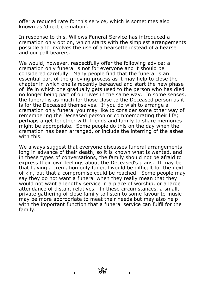offer a reduced rate for this service, which is sometimes also known as 'direct cremation'.

In response to this, Willows Funeral Service has introduced a cremation only option, which starts with the simplest arrangements possible and involves the use of a hearsette instead of a hearse and our pall bearers.

We would, however, respectfully offer the following advice: a cremation only funeral is not for everyone and it should be considered carefully. Many people find that the funeral is an essential part of the grieving process as it may help to close the chapter in which one is recently bereaved and start the new phase of life in which one gradually gets used to the person who has died no longer being part of our lives in the same way. In some senses, the funeral is as much for those close to the Deceased person as it is for the Deceased themselves. If you do wish to arrange a cremation only funeral you may like to consider some other way of remembering the Deceased person or commemorating their life; perhaps a get together with friends and family to share memories might be appropriate. Some people do this on the day when the cremation has been arranged, or include the interring of the ashes with this.

We always suggest that everyone discusses funeral arrangements long in advance of their death, so it is known what is wanted, and in these types of conversations, the family should not be afraid to express their own feelings about the Deceased's plans. It may be that having a cremation only funeral would be difficult for the next of kin, but that a compromise could be reached. Some people may say they do not want a funeral when they really mean that they would not want a lengthy service in a place of worship, or a large attendance of distant relatives. In these circumstances, a small, private gathering of close family to listen to some favourite music may be more appropriate to meet their needs but may also help with the important function that a funeral service can fulfil for the family.

 $\overline{\mathscr{L}}$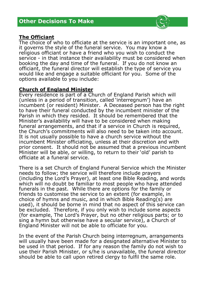# **Other Decisions To Make**



The choice of who to officiate at the service is an important one, as it governs the style of the funeral service. You may know a religious officiant or have a friend who you wish to conduct the service - in that instance their availability must be considered when booking the day and time of the funeral. If you do not know an officiant, the funeral director will establish the type of service you would like and engage a suitable officiant for you. Some of the options available to you include:

#### **Church of England Minister**

Every residence is part of a Church of England Parish which will (unless in a period of transition, called 'interregnum') have an incumbent (or resident) Minister. A Deceased person has the right to have their funeral conducted by the incumbent minister of the Parish in which they resided. It should be remembered that the Minister's availability will have to be considered when making funeral arrangements, and that if a service in Church is required, the Church's commitments will also need to be taken into account. It is not usually possible to have a church service without the incumbent Minister officiating, unless at their discretion and with prior consent. It should not be assumed that a previous incumbent Minister will be able, or willing, to return to their 'old' parish to officiate at a funeral service.

There is a set Church of England Funeral Service which the Minister needs to follow; the service will therefore include prayers (including the Lord's Prayer), at least one Bible Reading, and words which will no doubt be familiar to most people who have attended funerals in the past. While there are options for the family or friends to customise the service to an extent (for example, in choice of hymns and music, and in which Bible Reading(s) are used), it should be borne in mind that no aspect of this service can be excluded. Therefore, if you only wish to include some aspects (for example, The Lord's Prayer, but no other religious parts; or to sing a hymn but otherwise have a secular service), a Church of England Minister will not be able to officiate for you.

In the event of the Parish Church being interregnum, arrangements will usually have been made for a designated alternative Minister to be used in that period. If for any reason the family do not wish to use their Parish Minister, or s/he is unavailable, the funeral director should be able to call upon retired clergy to fulfil the same role.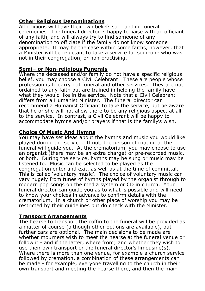# **Other Religious Denominations**

All religions will have their own beliefs surrounding funeral ceremonies. The funeral director is happy to liaise with an officiant of any faith, and will always try to find someone of any denomination to officiate if the family do not know someone appropriate. It may be the case within some faiths, however, that a Minister will be reluctant to take a service for someone who was not in their congregation, or non-practising.

#### **Semi– or Non-religious Funerals**

Where the deceased and/or family do not have a specific religious belief, you may choose a Civil Celebrant. These are people whose profession is to carry out funeral and other services. They are not ordained to any faith but are trained in helping the family have what they would like in the service. Note that a Civil Celebrant differs from a Humanist Minister. The funeral director can recommend a Humanist Officiant to take the service, but be aware that he or she will not allow there to be any religious aspect at all to the service. In contrast, a Civil Celebrant will be happy to accommodate hymns and/or prayers if that is the family's wish.

## **Choice Of Music And Hymns**

You may have set ideas about the hymns and music you would like played during the service. If not, the person officiating at the funeral will guide you. At the crematorium, you may choose to use an organist (there may be an extra charge) or pre-recorded music, or both. During the service, hymns may be sung or music may be listened to. Music can be selected to be played as the congregation enter and exit, as well as at the time of committal. This is called 'voluntary music'. The choice of voluntary music can vary hugely from tunes of hymns played by the organist through to modern pop songs on the media system or CD in church. Your funeral director can guide you as to what is possible and will need to know your choices in advance to confirm details with the crematorium. In a church or other place of worship you may be restricted by their guidelines but do check with the Minister.

## **Transport Arrangements**

The hearse to transport the coffin to the funeral will be provided as a matter of course (although other options are available), but further cars are optional. The main decisions to be made are whether mourners wish to meet the hearse at the funeral venue or follow it - and if the latter, where from; and whether they wish to use their own transport or the funeral director's limousine(s). Where there is more than one venue, for example a church service followed by cremation, a combination of these arrangements can be made - for example, everyone travelling to the church in their own transport and meeting the hearse there, and then the main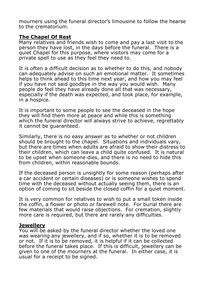mourners using the funeral director's limousine to follow the hearse to the crematorium.

#### **The Chapel Of Rest**

Many relatives and friends wish to come and pay a last visit to the person they have lost, in the days before the funeral. There is a quiet Chapel for this purpose, where visitors may come for a private spell to use as they feel they need to.

It is often a difficult decision as to whether to do this, and nobody can adequately advise on such an emotional matter. It sometimes helps to think ahead to this time next year, and how you may feel if you have not said goodbye in the way you would wish. Many people do feel they have already done all that was necessary, especially if the death was expected, and took place, for example, in a hospice.

It is important to some people to see the deceased in the hope they will find them more at peace and while this is something which the funeral director will always strive to achieve, regrettably it cannot be guaranteed.

Similarly, there is no easy answer as to whether or not children should be brought to the chapel. Situations and individuals vary, but there are times when adults are afraid to show their distress to their children, which can leave a child quite confused. It is natural to be upset when someone dies, and there is no need to hide this from children, within reasonable bounds.

If the deceased person is unsightly for some reason (perhaps after a car accident or certain diseases) or is someone wishes to spend time with the deceased without actually seeing them, there is an option of coming to sit beside the closed coffin for a quiet moment.

It is very common for relatives to wish to put a small token inside the coffin, a flower or photo or farewell note. For burial there are few materials that would raise objections. For cremation, slightly more care is required, but there are rarely any difficulties.

#### **Jewellery**

You will be asked by the funeral director whether the loved one was wearing any jewellery, and if so, whether it is to be removed or not. If it is to be removed, it is helpful if it can be collected before the funeral takes place. If this is difficult, jewellery can be given to one of the mourners at the funeral. In either case, it is usual for a receipt to be signed.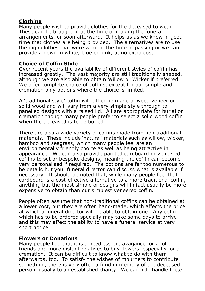# **Clothing**

Many people wish to provide clothes for the deceased to wear. These can be brought in at the time of making the funeral arrangements, or soon afterward. It helps us as we know in good time that clothes are being provided. The alternatives are to use the nightclothes that were worn at the time of passing or we can provide a gown in white, blue or pink, at no extra cost.

## **Choice of Coffin Style**

Over recent years the availability of different styles of coffin has increased greatly. The vast majority are still traditionally shaped, although we are also able to obtain Willow or Wicker if preferred. We offer complete choice of coffins, except for our simple and cremation only options where the choice is limited.

A 'traditional style' coffin will either be made of wood veneer or solid wood and will vary from a very simple style through to panelled designs with a raised lid. All are appropriate for burial or cremation though many people prefer to select a solid wood coffin when the deceased is to be buried.

There are also a wide variety of coffins made from non-traditional materials. These include 'natural' materials such as willow, wicker, bamboo and seagrass, which many people feel are an environmentally friendly choice as well as being attractive in appearance. We can also provide painted cardboard or veneered coffins to set or bespoke designs, meaning the coffin can become very personalised if required. The options are far too numerous to be details but your funeral director can discuss what is available if necessary. It should be noted that, while many people feel that cardboard is a cost-effective alternative to a more traditional coffin, anything but the most simple of designs will in fact usually be more expensive to obtain than our simplest veneered coffin.

People often assume that non-traditional coffins can be obtained at a lower cost, but they are often hand-made, which affects the price at which a funeral director will be able to obtain one. Any coffin which has to be ordered specially may take some days to arrive and this may affect the ability to have a funeral service at very short notice.

#### **Flowers or Donations**

Many people feel that it is a needless extravagance for a lot of friends and more distant relatives to buy flowers, especially for a cremation. It can be difficult to know what to do with them afterwards, too. To satisfy the wishes of mourners to contribute something, there is very often a fund in memory of the deceased person, usually to an established charity. We can help handle these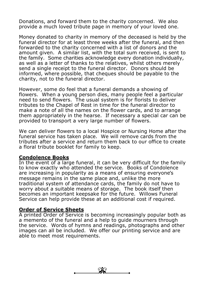Donations, and forward them to the charity concerned. We also provide a much loved tribute page in memory of your loved one.

Money donated to charity in memory of the deceased is held by the funeral director for at least three weeks after the funeral, and then forwarded to the charity concerned with a list of donors and the amount given. A similar list, with the total sum received, is sent to the family. Some charities acknowledge every donation individually, as well as a letter of thanks to the relatives, whilst others merely send a single receipt to the funeral director. Donors should be informed, where possible, that cheques should be payable to the charity, not to the funeral director.

However, some do feel that a funeral demands a showing of flowers. When a young person dies, many people feel a particular need to send flowers. The usual system is for florists to deliver tributes to the Chapel of Rest in time for the funeral director to make a note of all the names on the flower cards, and to arrange them appropriately in the hearse. If necessary a special car can be provided to transport a very large number of flowers.

We can deliver flowers to a local Hospice or Nursing Home after the funeral service has taken place. We will remove cards from the tributes after a service and return them back to our office to create a floral tribute booklet for family to keep.

#### **Condolence Books**

In the event of a large funeral, it can be very difficult for the family to know exactly who attended the service. Books of Condolence are increasing in popularity as a means of ensuring everyone's message remains in the same place and, unlike the more traditional system of attendance cards, the family do not have to worry about a suitable means of storage. The book itself then becomes an important keepsake for the future. Willows Funeral Service can help provide these at an additional cost if required.

#### **Order of Service Sheets**

A printed Order of Service is becoming increasingly popular both as a memento of the funeral and a help to guide mourners through the service. Words of hymns and readings, photographs and other images can all be included. We offer our printing service and are able to meet most requirements.

 $\overline{\mathscr{L}}$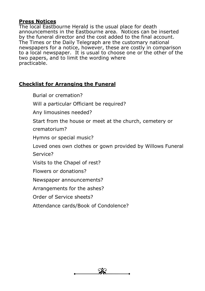## **Press Notices**

The local Eastbourne Herald is the usual place for death announcements in the Eastbourne area. Notices can be inserted by the funeral director and the cost added to the final account. The Times or the Daily Telegraph are the customary national newspapers for a notice, however, these are costly in comparison to a local newspaper. It is usual to choose one or the other of the two papers, and to limit the wording where practicable.

# **Checklist for Arranging the Funeral**

Burial or cremation?

Will a particular Officiant be required?

Any limousines needed?

Start from the house or meet at the church, cemetery or crematorium?

Hymns or special music?

Loved ones own clothes or gown provided by Willows Funeral Service?

Visits to the Chapel of rest?

Flowers or donations?

Newspaper announcements?

Arrangements for the ashes?

Order of Service sheets?

Attendance cards/Book of Condolence?

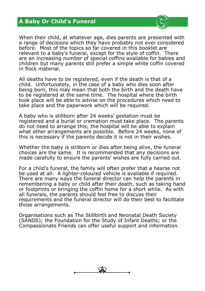# **A Baby Or Child's Funeral**



When their child, at whatever age, dies parents are presented with a range of decisions which they have probably not ever considered before. Most of the topics so far covered in this booklet are relevant to a baby's funeral, except for the style of coffin. There are an increasing number of special coffins available for babies and children but many parents still prefer a simple white coffin covered in flock material.

All deaths have to be registered, even if the death is that of a child. Unfortunately, in the case of a baby who dies soon after being born, this may mean that both the birth and the death have to be registered at the same time. The hospital where the birth took place will be able to advise on the procedures which need to take place and the paperwork which will be required.

A baby who is stillborn after 24 weeks' gestation must be registered and a burial or cremation must take place. The parents do not need to arrange this; the hospital will be able to explain what other arrangements are possible. Before 24 weeks, none of this is necessary if the parents decide it is not in their wishes.

Whether the baby is stillborn or dies after being alive, the funeral choices are the same. It is recommended that any decisions are made carefully to ensure the parents' wishes are fully carried out.

For a child's funeral, the family will often prefer that a hearse not be used at all. A lighter-coloured vehicle is available if required. There are many ways the funeral director can help the parents in remembering a baby or child after their death, such as taking hand or footprints or bringing the coffin home for a short while. As with all funerals, the parents should feel free to discuss their requirements and the funeral director will do their best to facilitate those arrangements.

Organisations such as The Stillbirth and Neonatal Death Society (SANDS); the Foundation for the Study of Infant Deaths; or the Compassionate Friends can offer useful support and information.

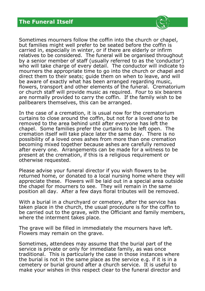

Sometimes mourners follow the coffin into the church or chapel, but families might well prefer to be seated before the coffin is carried in, especially in winter, or if there are elderly or infirm relatives to be considered. The funeral will be organised throughout by a senior member of staff (usually referred to as the 'conductor') who will take charge of every detail. The conductor will indicate to mourners the appropriate time to go into the church or chapel and direct them to their seats; guide them on when to leave, and will be aware of exactly what has been arranged regarding music, flowers, transport and other elements of the funeral. Crematorium or church staff will provide music as required. Four to six bearers are normally provided to carry the coffin. If the family wish to be pallbearers themselves, this can be arranged.

In the case of a cremation, it is usual now for the crematorium curtains to close around the coffin, but not for a loved one to be removed to the area behind until after everyone has left the chapel. Some families prefer the curtains to be left open. The cremation itself will take place later the same day. There is no possibility of a loved ones ashes from more than one cremation becoming mixed together because ashes are carefully removed after every one. Arrangements can be made for a witness to be present at the cremation, if this is a religious requirement or otherwise requested.

Please advise your funeral director if you wish flowers to be returned home, or donated to a local nursing home where they will appreciate these. Flowers will be laid out in a special area outside the chapel for mourners to see. They will remain in the same position all day. After a few days floral tributes will be removed.

With a burial in a churchyard or cemetery, after the service has taken place in the church, the usual procedure is for the coffin to be carried out to the grave, with the Officiant and family members, where the interment takes place.

The grave will be filled in immediately the mourners have left. Flowers may remain on the grave.

Sometimes, attendees may assume that the burial part of the service is private or only for immediate family, as was once traditional. This is particularly the case in those instances where the burial is not in the same place as the service e.g. if it is in a cemetery or burial ground after a church service. It is useful to make your wishes in this respect clear to the funeral director and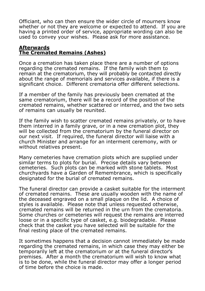Officiant, who can then ensure the wider circle of mourners know whether or not they are welcome or expected to attend. If you are having a printed order of service, appropriate wording can also be used to convey your wishes. Please ask for more assistance.

#### **Afterwards The Cremated Remains (Ashes)**

Once a cremation has taken place there are a number of options regarding the cremated remains. If the family wish them to remain at the crematorium, they will probably be contacted directly about the range of memorials and services available, if there is a significant choice. Different crematoria offer different selections.

If a member of the family has previously been cremated at the same crematorium, there will be a record of the position of the cremated remains, whether scattered or interred, and the two sets of remains can usually be reunited.

If the family wish to scatter cremated remains privately, or to have them interred in a family grave, or in a new cremation plot, they will be collected from the crematorium by the funeral director on our next visit. If required, the funeral director will liaise with a church Minister and arrange for an interment ceremony, with or without relatives present.

Many cemeteries have cremation plots which are supplied under similar terms to plots for burial. Precise details vary between cemeteries. Such plots can be marked with stone tablets. Most churchyards have a Garden of Remembrance, which is specifically designated for the burial of cremated remains.

The funeral director can provide a casket suitable for the interment of cremated remains. These are usually wooden with the name of the deceased engraved on a small plaque on the lid. A choice of styles is available. Please note that unless requested otherwise, cremated remains will be returned in the urn from the crematoria. Some churches or cemeteries will request the remains are interred loose or in a specific type of casket, e.g. biodegradable. Please check that the casket you have selected will be suitable for the final resting place of the cremated remains.

It sometimes happens that a decision cannot immediately be made regarding the cremated remains, in which case they may either be temporarily left at the crematorium or at the funeral director's premises. After a month the crematorium will wish to know what is to be done, while the funeral director may offer a longer period of time before the choice is made.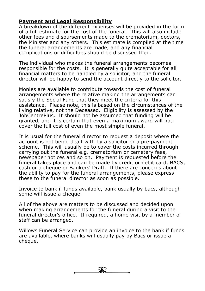## **Payment and Legal Responsibility**

A breakdown of the different expenses will be provided in the form of a full estimate for the cost of the funeral. This will also include other fees and disbursements made to the crematorium, doctors, the Minister and any others. This estimate is compiled at the time the funeral arrangements are made, and any financial complications or difficulties should be discussed then.

The individual who makes the funeral arrangements becomes responsible for the costs. It is generally quite acceptable for all financial matters to be handled by a solicitor, and the funeral director will be happy to send the account directly to the solicitor.

Monies are available to contribute towards the cost of funeral arrangements where the relative making the arrangements can satisfy the Social Fund that they meet the criteria for this assistance. Please note, this is based on the circumstances of the living relative, not the Deceased. Eligibility is assessed by the JobCentrePlus. It should not be assumed that funding will be granted, and it is certain that even a maximum award will not cover the full cost of even the most simple funeral.

It is usual for the funeral director to request a deposit where the account is not being dealt with by a solicitor or a pre-payment scheme. This will usually be to cover the costs incurred through carrying out the funeral e.g. crematorium or cemetery fees, newspaper notices and so on. Payment is requested before the funeral takes place and can be made by credit or debit card, BACS, cash or a cheque or Bankers' Draft. If there are concerns about the ability to pay for the funeral arrangements, please express these to the funeral director as soon as possible.

Invoice to bank if funds available, bank usually by bacs, although some will issue a cheque.

All of the above are matters to be discussed and decided upon when making arrangements for the funeral during a visit to the funeral director's office. If required, a home visit by a member of staff can be arranged.

Willows Funeral Service can provide an invoice to the bank if funds are available, where banks will usually pay by Bacs or issue a cheque.

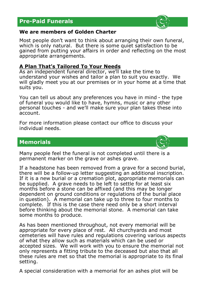# **Pre-Paid Funerals**



#### **We are members of Golden Charter**

Most people don't want to think about arranging their own funeral, which is only natural. But there is some quiet satisfaction to be gained from putting your affairs in order and reflecting on the most appropriate arrangements.

## **A Plan That's Tailored To Your Needs**

As an independent funeral director, we'll take the time to understand your wishes and tailor a plan to suit you exactly. We will gladly meet you at our premises or in your home at a time that suits you.

You can tell us about any preferences you have in mind - the type of funeral you would like to have, hymns, music or any other personal touches - and we'll make sure your plan takes these into account.

For more information please contact our office to discuss your individual needs.

# **Memorials**



Many people feel the funeral is not completed until there is a permanent marker on the grave or ashes grave.

If a headstone has been removed from a grave for a second burial, there will be a follow-up letter suggesting an additional inscription. If it is a new burial or a cremation plot, appropriate memorials can be supplied. A grave needs to be left to settle for at least six months before a stone can be affixed (and this may be longer dependent on ground conditions or regulations of the burial place in question). A memorial can take up to three to four months to complete. If this is the case there need only be a short interval before thinking about the memorial stone. A memorial can take some months to produce.

As has been mentioned throughout, not every memorial will be appropriate for every place of rest. All churchyards and most cemeteries will have rules and regulations covering various aspects of what they allow such as materials which can be used or accepted sizes. We will work with you to ensure the memorial not only represents a fitting tribute to the deceased but also that all these rules are met so that the memorial is appropriate to its final setting.

A special consideration with a memorial for an ashes plot will be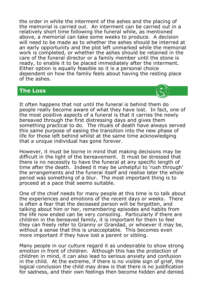the order in white the interment of the ashes and the placing of the memorial is carried out. An interment can be carried out in a relatively short time following the funeral while, as mentioned above, a memorial can take some weeks to produce. A decision will need to be made as to whether the ashes should be interred at an early opportunity and the plot left unmarked while the memorial work is completed, or whether the ashes should be retained in the care of the funeral director or a family member until the stone is ready, to enable it to be placed immediately after the interment. Either option is equally feasible so it is a personal choice dependent on how the family feels about having the resting place of the ashes.

## **The Loss**



It often happens that not until the funeral is behind them do people really become aware of what they have lost. In fact, one of the most positive aspects of a funeral is that it carries the newly bereaved through the first distressing days and gives them something practical to do. The rituals of death have always served this same purpose of easing the transition into the new phase of life for those left behind whilst at the same time acknowledging that a unique individual has gone forever.

However, it must be borne in mind that making decisions may be difficult in the light of the bereavement. It must be stressed that there is no necessity to have the funeral at any specific length of time after the death. Indeed it may be unhelpful to 'rush through' the arrangements and the funeral itself and realise later the whole period was something of a blur. The most important thing is to proceed at a pace that seems suitable.

One of the chief needs for many people at this time is to talk about the experiences and emotions of the recent days or weeks. There is often a fear that the deceased person will be forgotten, and talking about him or her, remembering episodes and habits from the life now ended can be very consoling. Particularly if there are children in the bereaved family, it is important for them to feel they can freely refer to Granny or Grandad, or whoever it may be, without a sense that this is unacceptable. This becomes even more important if they have lost a parent or sibling.

Many people in our culture regard it as undesirable to show strong emotion in front of children. Although this has the protection of children in mind, it can also lead to serious anxiety and confusion in the child. At the extreme, if there is no visible sign of grief, the logical conclusion the child may draw is that there is no justification for sadness, and their own feelings then become hidden and denied.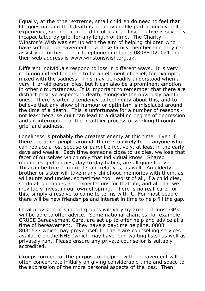Equally, at the other extreme, small children do need to feel that life goes on, and that death is an unavoidable part of our overall experience, so there can be difficulties if a close relative is severely incapacitated by grief for any length of time. The Charity Winston's Wish was set up with the aim of helping children who have suffered bereavement of a close family member and they can assist you further. Their telephone number is 08088 020021 and their web address is www.winstonswish.org.uk.

Different individuals respond to loss in different ways. It is very common indeed for there to be an element of relief, for example, mixed with the sadness. This may be readily understood when a very ill or old person dies, but it can also be a prominent emotion in other circumstances. It is important to remember that there are distinct positive aspects to death, alongside the obviously painful ones. There is often a tendency to feel guilty about this, and to believe that any show of humour or optimism is misplaced around the time of a death. This is unfortunate for a number of reasons not least because guilt can lead to a disabling degree of depression and an interruption of the healthier process of working through grief and sadness.

Loneliness is probably the greatest enemy at this time. Even if there are other people around, there is unlikely to be anyone who can replace a lost spouse or parent effectively, at least in the early days and weeks. Each time someone close to us dies, we lose that facet of ourselves which only that individual know. Shared memories, pet names, day-to-day habits, are all gone forever. This can be true of more distant relatives, as well. An elderly brother or sister will take many childhood memories with them, as will aunts and uncles, sometimes too. Worst of all, if a child dies, so do all our hopes and expectations for that life, and all that we inevitably invest in our own offspring. There is no real 'cure' for this, simply a resolve to come to terms with it. For most people there will be new friendships and interest in time to help fill the gap.

Local provision of support groups will vary by area but most GP's will be able to offer advice. Some national charities, for example CRUSE Bereavement Care, are set up to offer help and advice at a time of bereavement. They have a daytime helpline, 0808 8081677 which may prove useful. There are counselling services available on the NHS (which may have long waiting lists) as well as privately run. Please ensure any private counsellor is suitably accredited.

Groups formed for the purpose of helping with bereavement will often concentrate initially on giving considerable time and space to the expression of the more personal aspects of the loss. Then,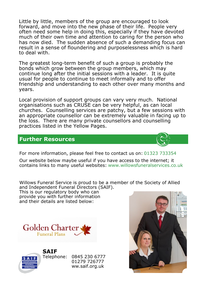Little by little, members of the group are encouraged to look forward, and move into the new phase of their life. People very often need some help in doing this, especially if they have devoted much of their own time and attention to caring for the person who has now died. The sudden absence of such a demanding focus can result in a sense of floundering and purposelessness which is hard to deal with.

The greatest long-term benefit of such a group is probably the bonds which grow between the group members, which may continue long after the initial sessions with a leader. It is quite usual for people to continue to meet informally and to offer friendship and understanding to each other over many months and years.

Local provision of support groups can vary very much. National organisations such as CRUSE can be very helpful, as can local churches. Counselling services are patchy, but a few sessions with an appropriate counsellor can be extremely valuable in facing up to the loss. There are many private counsellors and counselling practices listed in the Yellow Pages.

## **Further Resources**



For more information, please feel free to contact us on: 01323 733354

Our website below maybe useful if you have access to the internet; it contains links to many useful websites: www.willowsfuneralservices.co.uk

Willows Funeral Service is proud to be a member of the Society of Allied and Independent Funeral Directors (SAIF).

This is our regulatory body who can provide you with further information and their details are listed below:





Telephone: 0845 230 6777 01279 726777 ww.saif.org.uk